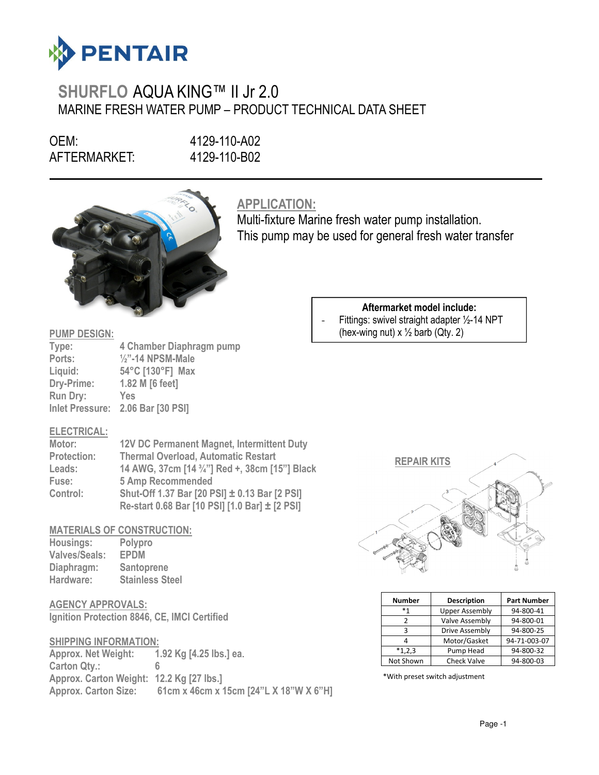

# SHURFLO AQUA KING™ II Jr 2.0 MARINE FRESH WATER PUMP – PRODUCT TECHNICAL DATA SHEET

OEM: 4129-110-A02 AFTERMARKET: 4129-110-B02

 $\overline{a}$ 



# APPLICATION:

Multi-fixture Marine fresh water pump installation. This pump may be used for general fresh water transfer

### PUMP DESIGN:

| Type:           | 4 Chamber Diaphragm pump          |
|-----------------|-----------------------------------|
| Ports:          | $\frac{1}{2}$ "-14 NPSM-Male      |
| Liquid:         | 54°C [130°F] Max                  |
| Dry-Prime:      | 1.82 M [6 feet]                   |
| <b>Run Dry:</b> | Yes                               |
|                 | Inlet Pressure: 2.06 Bar [30 PSI] |

#### Aftermarket model include: Fittings: swivel straight adapter  $\frac{1}{2}$ -14 NPT

(hex-wing nut)  $x \frac{1}{2}$  barb (Qty. 2)

#### ELECTRICAL:

| Motor:             | <b>12V DC Permanent Magnet, Intermittent Duty</b> |
|--------------------|---------------------------------------------------|
| <b>Protection:</b> | <b>Thermal Overload, Automatic Restart</b>        |
| Leads:             | 14 AWG, 37cm [14 3/4"] Red +, 38cm [15"] Black    |
| Fuse:              | <b>5 Amp Recommended</b>                          |
| Control:           | Shut-Off 1.37 Bar [20 PSI] ± 0.13 Bar [2 PSI]     |
|                    | Re-start 0.68 Bar [10 PSI] [1.0 Bar] ± [2 PSI]    |

### MATERIALS OF CONSTRUCTION:

| Housings:            | Polypro                |
|----------------------|------------------------|
| <b>Valves/Seals:</b> | <b>EPDM</b>            |
| Diaphragm:           | Santoprene             |
| Hardware:            | <b>Stainless Steel</b> |

## AGENCY APPROVALS:

Ignition Protection 8846, CE, IMCI Certified

#### SHIPPING INFORMATION:

Approx. Net Weight: 1.92 Kg [4.25 lbs.] ea. Carton Qty.: Approx. Carton Weight: 12.2 Kg [27 lbs.] Approx. Carton Size: 61cm x 46cm x 15cm [24"L X 18"W X 6"H]



| <b>Number</b> | <b>Description</b>    | <b>Part Number</b> |
|---------------|-----------------------|--------------------|
| $*1$          | <b>Upper Assembly</b> | 94-800-41          |
|               | Valve Assembly        | 94-800-01          |
|               | Drive Assembly        | 94-800-25          |
|               | Motor/Gasket          | 94-71-003-07       |
| $*1,2,3$      | Pump Head             | 94-800-32          |
| Not Shown     | <b>Check Valve</b>    | 94-800-03          |

\*With preset switch adjustment